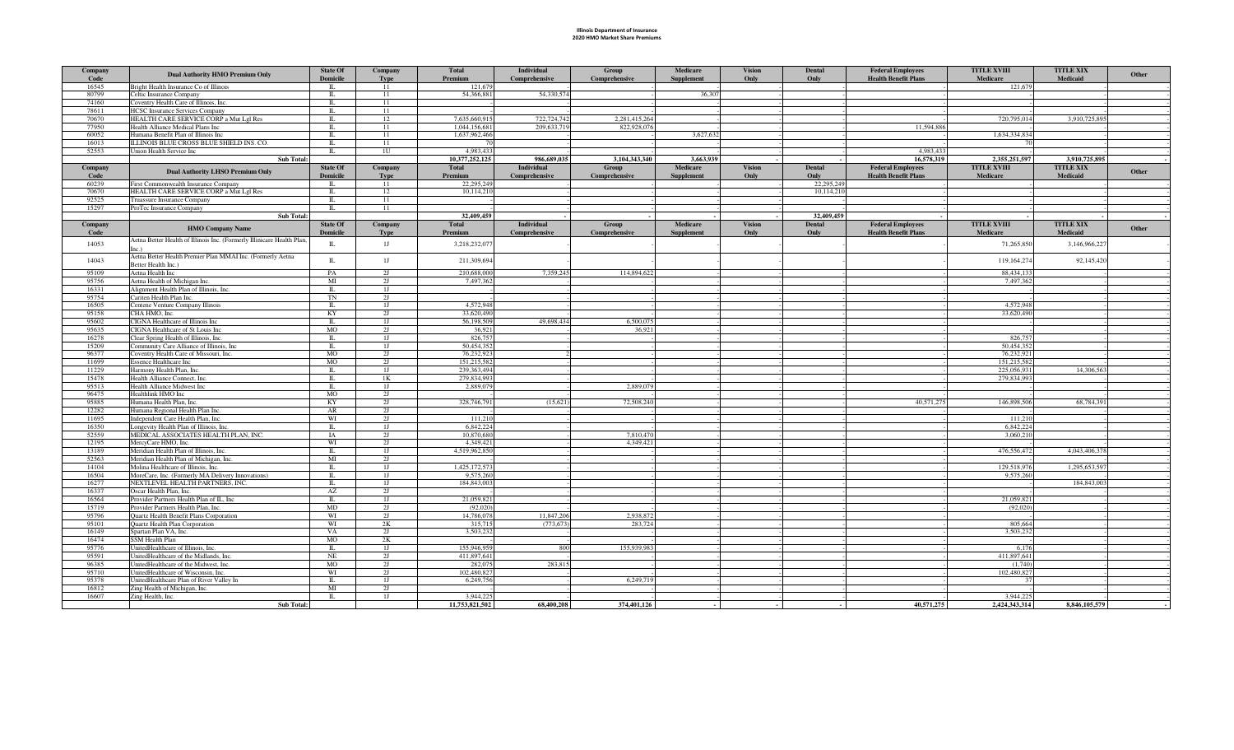## Illinois Department of Insurance 2020 HMO Market Share Premiums

| Company<br>Code | <b>Dual Authority HMO Premium Only</b>                                               | <b>State Of</b><br><b>Domicile</b> | Company<br>Type      | <b>Total</b><br>Premium  | <b>Individual</b><br>Comprehensive | Group<br>Comprehensive | Medicare<br><b>Supplement</b> | <b>Vision</b><br>Only | <b>Dental</b><br>Only | <b>Federal Employees</b><br><b>Health Benefit Plans</b> | <b>TITLE XVIII</b><br><b>Medicare</b> | <b>TITLE XIX</b><br><b>Medicaid</b> | Other |
|-----------------|--------------------------------------------------------------------------------------|------------------------------------|----------------------|--------------------------|------------------------------------|------------------------|-------------------------------|-----------------------|-----------------------|---------------------------------------------------------|---------------------------------------|-------------------------------------|-------|
| 16545           | Bright Health Insurance Co of Illinois                                               | $\mathbbm{L}$                      | 11                   | 121,679                  |                                    |                        |                               |                       |                       |                                                         | 121,679                               |                                     |       |
| 80799           | Celtic Insurance Company                                                             | $\mathbbm{L}$<br>$\Pi$ .           | 11                   | 54,366,881               | 54,330,574                         |                        | 36,307                        |                       |                       |                                                         |                                       |                                     |       |
| 74160<br>78611  | Coventry Health Care of Illinois, Inc.<br><b>HCSC</b> Insurance Services Company     | $\Pi$                              | 11<br>11             |                          |                                    |                        |                               |                       |                       |                                                         |                                       |                                     |       |
| 70670           | HEALTH CARE SERVICE CORP a Mut Lgl Res                                               | $\Pi$                              | 12                   | 7.635,660,915            | 722,724,742                        | 2,281,415,264          |                               |                       |                       |                                                         | 720,795,014                           | 3,910,725,895                       |       |
| 77950           | Health Alliance Medical Plans Inc                                                    | $\Pi$ .                            | 11                   | 1,044,156,681            | 209,633,719                        | 822,928,076            |                               |                       |                       | 11,594,886                                              |                                       |                                     |       |
| 60052           | Humana Benefit Plan of Illinois Inc                                                  | Π.                                 | 11                   | 1,637,962,466            |                                    |                        | 3,627,632                     |                       |                       |                                                         | 1,634,334,834                         |                                     |       |
| 16013           | ILLINOIS BLUE CROSS BLUE SHIELD INS. CO.                                             | π                                  | 11                   |                          |                                    |                        |                               |                       |                       |                                                         |                                       |                                     |       |
| 52553           | Union Health Service Inc                                                             | П.                                 | 1U                   | 4,983,433                |                                    |                        |                               |                       |                       | 4.983.433                                               |                                       |                                     |       |
|                 | Sub Total:                                                                           |                                    |                      | 10,377,252,125           | 986,689,035                        | 3,104,343,340          | 3,663,939                     |                       |                       | 16,578,319                                              | 2,355,251,597                         | 3,910,725,895                       |       |
| Company         |                                                                                      | <b>State Of</b>                    | Company              | <b>Total</b>             | Individual                         | Group                  | Medicare                      | <b>Vision</b>         | <b>Dental</b>         | <b>Federal Employees</b>                                | <b>TITLE XVIII</b>                    | <b>TITLE XIX</b>                    |       |
| Code            | <b>Dual Authority LHSO Premium Only</b>                                              | Domicile                           | <b>Type</b>          | Premium                  | Comprehensive                      | Comprehensive          | <b>Supplement</b>             | Only                  | Only                  | <b>Health Benefit Plans</b>                             | Medicare                              | Medicaid                            | Other |
| 60239           | First Commonwealth Insurance Company                                                 | Π.                                 | 11                   | 22,295,249               |                                    |                        |                               |                       | 22,295,249            |                                                         |                                       |                                     |       |
| 70670           | HEALTH CARE SERVICE CORP a Mut Lgl Res                                               | $\Pi$                              | 12                   | 10,114,210               |                                    |                        |                               |                       | 10,114,210            |                                                         |                                       |                                     |       |
| 92525           | Truassure Insurance Company                                                          | $\Pi$ .                            | 11                   |                          |                                    |                        |                               |                       |                       |                                                         |                                       |                                     |       |
| 15297           | ProTec Insurance Company                                                             | Π.                                 | 11                   |                          |                                    |                        |                               |                       |                       |                                                         |                                       |                                     |       |
|                 | <b>Sub Total:</b>                                                                    |                                    |                      | 32,409,459               |                                    |                        |                               |                       | 32,409,459            |                                                         |                                       |                                     |       |
| Company         | <b>HMO Company Name</b>                                                              | <b>State Of</b>                    | Company              | <b>Total</b>             | <b>Individual</b>                  | Group                  | <b>Medicare</b>               | <b>Vision</b>         | <b>Dental</b>         | <b>Federal Employees</b>                                | <b>TITLE XVIII</b>                    | <b>TITLE XIX</b>                    | Other |
| Code            |                                                                                      | Domicile                           | <b>Type</b>          | Premiun                  | Comprehensive                      | Comprehensive          | <b>Supplement</b>             | Only                  | Only                  | <b>Health Benefit Plans</b>                             | Medicare                              | Medicaid                            |       |
| 14053           | Aetna Better Health of Illinois Inc. (Formerly Illinicare Health Plan,               | $\mathbb{L}$                       | 1J                   | 3,218,232,077            |                                    |                        |                               |                       |                       |                                                         | 71,265,850                            | 3,146,966,227                       |       |
|                 | Inc.)                                                                                |                                    |                      |                          |                                    |                        |                               |                       |                       |                                                         |                                       |                                     |       |
| 14043           | Aetna Better Health Premier Plan MMAI Inc. (Formerly Aetna                           | $\Pi$ .                            | 1J                   | 211,309,694              |                                    |                        |                               |                       |                       |                                                         | 119,164,274                           | 92,145,420                          |       |
|                 | Better Health Inc.)                                                                  |                                    |                      |                          |                                    |                        |                               |                       |                       |                                                         |                                       |                                     |       |
| 95109           | Aetna Health Inc                                                                     | PA                                 | 2J                   | 210,688,000              | 7.359.245                          | 114,894,622            |                               |                       |                       |                                                         | 88,434,133                            |                                     |       |
| 95756           | Aetna Health of Michigan Inc.                                                        | MI                                 | 2J                   | 7,497,362                |                                    |                        |                               |                       |                       |                                                         | 7,497,362                             |                                     |       |
| 16331<br>95754  | Alignment Health Plan of Illinois, Inc.<br>Cariten Health Plan Inc.                  | $\mathbf{I}$<br>TN                 | 1J<br>2 <sub>I</sub> |                          |                                    |                        |                               |                       |                       |                                                         |                                       |                                     |       |
| 16505           | Centene Venture Company Illinois                                                     | $\Pi$ .                            |                      |                          |                                    |                        |                               |                       |                       |                                                         |                                       |                                     |       |
|                 | CHA HMO, Inc.                                                                        | KY                                 | 1J                   | 4,572,948<br>33,620,490  |                                    |                        |                               |                       |                       |                                                         | 4,572,948<br>33,620,490               |                                     |       |
| 95158<br>95602  | CIGNA Healthcare of Illinois Inc                                                     | $\mathbb{L}$                       | 2J<br>1J             | 56,198,509               | 49,698,434                         | 6,500,075              |                               |                       |                       |                                                         |                                       |                                     |       |
| 95635           | CIGNA Healthcare of St Louis Inc                                                     | <b>MO</b>                          | 2J                   | 36,921                   |                                    | 36,921                 |                               |                       |                       |                                                         |                                       |                                     |       |
| 16278           | Clear Spring Health of Illinois, Inc.                                                | $\Pi$                              | 1J                   | 826,757                  |                                    |                        |                               |                       |                       |                                                         | 826,75                                |                                     |       |
| 15209           | Community Care Alliance of Illinois, Inc                                             | $\Pi$                              | 1J                   | 50,454,352               |                                    |                        |                               |                       |                       |                                                         | 50,454,352                            |                                     |       |
| 96377           | Coventry Health Care of Missouri, Inc.                                               | MO                                 | 2J                   | 76,232,923               |                                    |                        |                               |                       |                       |                                                         | 76,232,921                            |                                     |       |
| 11699           | <b>Essence Healthcare Inc</b>                                                        | MO                                 | 2J                   | 151,215,582              |                                    |                        |                               |                       |                       |                                                         | 151,215,582                           |                                     |       |
| 11229           | Harmony Health Plan, Inc.                                                            | $\mathbf{I}$                       | 1J                   | 239,363,494              |                                    |                        |                               |                       |                       |                                                         | 225,056,931                           | 14,306,563                          |       |
| 15478           | Health Alliance Connect, Inc.                                                        | Π.                                 | 1K                   | 279,834,993              |                                    |                        |                               |                       |                       |                                                         | 279,834,993                           |                                     |       |
| 95513           | Health Alliance Midwest Inc                                                          | $\Pi$ .                            | 1J                   | 2,889,079                |                                    | 2,889,079              |                               |                       |                       |                                                         |                                       |                                     |       |
| 96475           | Healthlink HMO Inc                                                                   | MO                                 | 2J                   |                          |                                    |                        |                               |                       |                       |                                                         |                                       |                                     |       |
| 95885           | Humana Health Plan, Inc.                                                             | KY                                 | 2J                   | 328,746,791              | (15,621)                           | 72,508,240             |                               |                       |                       | 40,571,275                                              | 146,898,506                           | 68,784,391                          |       |
| 12282           | Humana Regional Health Plan Inc.                                                     | AR                                 | 2J                   |                          |                                    |                        |                               |                       |                       |                                                         |                                       |                                     |       |
| 11695           | Independent Care Health Plan, Inc.                                                   | WI                                 | 2J                   | 111,210                  |                                    |                        |                               |                       |                       |                                                         | 111,210                               |                                     |       |
| 16350           | Longevity Health Plan of Illinois, Inc.                                              | $\overline{\mathbf{u}}$            | 1J                   | 6,842,224                |                                    |                        |                               |                       |                       |                                                         | 6,842,224                             |                                     |       |
| 52559           | MEDICAL ASSOCIATES HEALTH PLAN, INC.                                                 | <b>IA</b>                          | 2J                   | 10,870,680               |                                    | 7.810.470              |                               |                       |                       |                                                         | 3.060.210                             |                                     |       |
| 12195           | MercyCare HMO, Inc.                                                                  | WI                                 | 2J                   | 4,349,42                 |                                    | 4,349,421              |                               |                       |                       |                                                         |                                       |                                     |       |
| 13189           | Meridian Health Plan of Illinois, Inc.                                               | $\Pi$                              | 1J                   | 4.519.962.850            |                                    |                        |                               |                       |                       |                                                         | 476,556,472                           | 4.043.406.378                       |       |
| 52563           | Meridian Health Plan of Michigan, Inc.                                               | MI                                 | 2J                   |                          |                                    |                        |                               |                       |                       |                                                         |                                       |                                     |       |
| 14104           | Molina Healthcare of Illinois, Inc.                                                  | $\Pi$ .                            | 1J                   | 1,425,172,573            |                                    |                        |                               |                       |                       |                                                         | 129,518,976                           | 1,295,653,597                       |       |
| 16504<br>16277  | MoreCare, Inc. (Formerly MA Delivery Innovations)<br>NEXTLEVEL HEALTH PARTNERS, INC. | $\mathbf{I}$<br>$\mathbbm{L}$      | 1J<br>1J             | 9,575,260<br>184,843,003 |                                    |                        |                               |                       |                       |                                                         | 9,575,260                             | 184,843,003                         |       |
| 16337           | Oscar Health Plan, Inc.                                                              | AZ                                 | 2J                   |                          |                                    |                        |                               |                       |                       |                                                         |                                       |                                     |       |
| 16564           | Provider Partners Health Plan of IL, Inc                                             | $\overline{\mathbf{u}}$            | 1J                   | 21,059,82                |                                    |                        |                               |                       |                       |                                                         | 21,059,821                            |                                     |       |
| 15719           | Provider Partners Health Plan, Inc.                                                  | MD                                 | 2J                   | (92.020)                 |                                    |                        |                               |                       |                       |                                                         | (92,020)                              |                                     |       |
| 95796           | Quartz Health Benefit Plans Corporation                                              | WI                                 | 2J                   | 14,786,078               | 11,847,206                         | 2.938.872              |                               |                       |                       |                                                         |                                       |                                     |       |
| 95101           | Quartz Health Plan Corporation                                                       | WI                                 | 2K                   | 315,715                  | (773, 673)                         | 283,724                |                               |                       |                       |                                                         | 805,664                               |                                     |       |
| 16149           | Spartan Plan VA, Inc.                                                                | VA                                 | 2J                   | 3,503,232                |                                    |                        |                               |                       |                       |                                                         | 3,503,232                             |                                     |       |
| 16474           | SSM Health Plan                                                                      | MO                                 | 2K                   |                          |                                    |                        |                               |                       |                       |                                                         |                                       |                                     |       |
| 95776           | UnitedHealthcare of Illinois, Inc.                                                   | $\mathbf{I}$                       | 1J                   | 155,946,959              | 800                                | 155,939,983            |                               |                       |                       |                                                         | 6,176                                 |                                     |       |
| 95591           | UnitedHealthcare of the Midlands, Inc.                                               | <b>NE</b>                          | 2J                   | 411,897,641              |                                    |                        |                               |                       |                       |                                                         | 411,897,641                           |                                     |       |
| 96385           | UnitedHealthcare of the Midwest, Inc.                                                | MO.                                | 2J                   | 282,075                  | 283,815                            |                        |                               |                       |                       |                                                         | (1,740)                               |                                     |       |
| 95710           | UnitedHealthcare of Wisconsin, Inc.                                                  | WI                                 | 2J                   | 102,480,827              |                                    |                        |                               |                       |                       |                                                         | 102,480,827                           |                                     |       |
| 95378           | UnitedHealthcare Plan of River Valley In                                             | $\Pi$                              | 1J                   | 6,249,756                |                                    | 6,249,719              |                               |                       |                       |                                                         |                                       |                                     |       |
| 16812           | Zing Health of Michigan, Inc.                                                        | MI                                 | 2J                   |                          |                                    |                        |                               |                       |                       |                                                         |                                       |                                     |       |
| 16607           | Zing Health, Inc.                                                                    | $\Pi$ .                            | 1J                   | 3.944.225                |                                    |                        |                               |                       |                       |                                                         | 3.944.225                             |                                     |       |
|                 | <b>Sub Total:</b>                                                                    |                                    |                      | 11,753,821,502           | 68,400,208                         | 374,401,126            |                               |                       |                       | 40,571,275                                              | 2,424,343,314                         | 8,846,105,579                       |       |